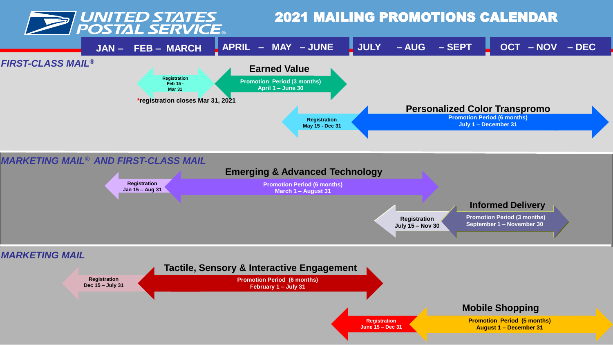